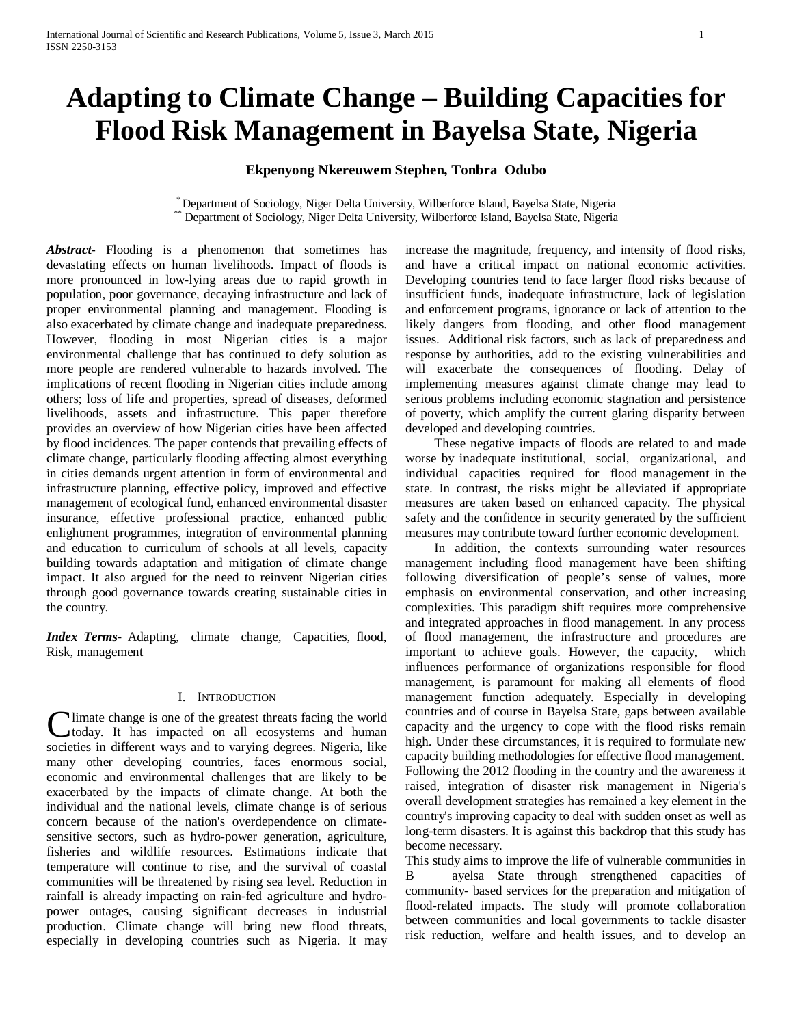# **Adapting to Climate Change – Building Capacities for Flood Risk Management in Bayelsa State, Nigeria**

# **Ekpenyong Nkereuwem Stephen, Tonbra Odubo**

\* Department of Sociology, Niger Delta University, Wilberforce Island, Bayelsa State, Nigeria \*\* Department of Sociology, Niger Delta University, Wilberforce Island, Bayelsa State, Nigeria

*Abstract***-** Flooding is a phenomenon that sometimes has devastating effects on human livelihoods. Impact of floods is more pronounced in low-lying areas due to rapid growth in population, poor governance, decaying infrastructure and lack of proper environmental planning and management. Flooding is also exacerbated by climate change and inadequate preparedness. However, flooding in most Nigerian cities is a major environmental challenge that has continued to defy solution as more people are rendered vulnerable to hazards involved. The implications of recent flooding in Nigerian cities include among others; loss of life and properties, spread of diseases, deformed livelihoods, assets and infrastructure. This paper therefore provides an overview of how Nigerian cities have been affected by flood incidences. The paper contends that prevailing effects of climate change, particularly flooding affecting almost everything in cities demands urgent attention in form of environmental and infrastructure planning, effective policy, improved and effective management of ecological fund, enhanced environmental disaster insurance, effective professional practice, enhanced public enlightment programmes, integration of environmental planning and education to curriculum of schools at all levels, capacity building towards adaptation and mitigation of climate change impact. It also argued for the need to reinvent Nigerian cities through good governance towards creating sustainable cities in the country.

*Index Terms*- Adapting, climate change, Capacities, flood, Risk, management

#### I. INTRODUCTION

I limate change is one of the greatest threats facing the world today. It has impacted on all ecosystems and human **C**limate change is one of the greatest threats facing the world today. It has impacted on all ecosystems and human societies in different ways and to varying degrees. Nigeria, like many other developing countries, faces enormous social, economic and environmental challenges that are likely to be exacerbated by the impacts of climate change. At both the individual and the national levels, climate change is of serious concern because of the nation's overdependence on climatesensitive sectors, such as hydro-power generation, agriculture, fisheries and wildlife resources. Estimations indicate that temperature will continue to rise, and the survival of coastal communities will be threatened by rising sea level. Reduction in rainfall is already impacting on rain-fed agriculture and hydropower outages, causing significant decreases in industrial production. Climate change will bring new flood threats, especially in developing countries such as Nigeria. It may

increase the magnitude, frequency, and intensity of flood risks, and have a critical impact on national economic activities. Developing countries tend to face larger flood risks because of insufficient funds, inadequate infrastructure, lack of legislation and enforcement programs, ignorance or lack of attention to the likely dangers from flooding, and other flood management issues. Additional risk factors, such as lack of preparedness and response by authorities, add to the existing vulnerabilities and will exacerbate the consequences of flooding. Delay of implementing measures against climate change may lead to serious problems including economic stagnation and persistence of poverty, which amplify the current glaring disparity between developed and developing countries.

 These negative impacts of floods are related to and made worse by inadequate institutional, social, organizational, and individual capacities required for flood management in the state. In contrast, the risks might be alleviated if appropriate measures are taken based on enhanced capacity. The physical safety and the confidence in security generated by the sufficient measures may contribute toward further economic development.

 In addition, the contexts surrounding water resources management including flood management have been shifting following diversification of people's sense of values, more emphasis on environmental conservation, and other increasing complexities. This paradigm shift requires more comprehensive and integrated approaches in flood management. In any process of flood management, the infrastructure and procedures are important to achieve goals. However, the capacity, which influences performance of organizations responsible for flood management, is paramount for making all elements of flood management function adequately. Especially in developing countries and of course in Bayelsa State, gaps between available capacity and the urgency to cope with the flood risks remain high. Under these circumstances, it is required to formulate new capacity building methodologies for effective flood management. Following the 2012 flooding in the country and the awareness it raised, integration of disaster risk management in Nigeria's overall development strategies has remained a key element in the country's improving capacity to deal with sudden onset as well as long-term disasters. It is against this backdrop that this study has become necessary.

This study aims to improve the life of vulnerable communities in B ayelsa State through strengthened capacities of community- based services for the preparation and mitigation of flood-related impacts. The study will promote collaboration between communities and local governments to tackle disaster risk reduction, welfare and health issues, and to develop an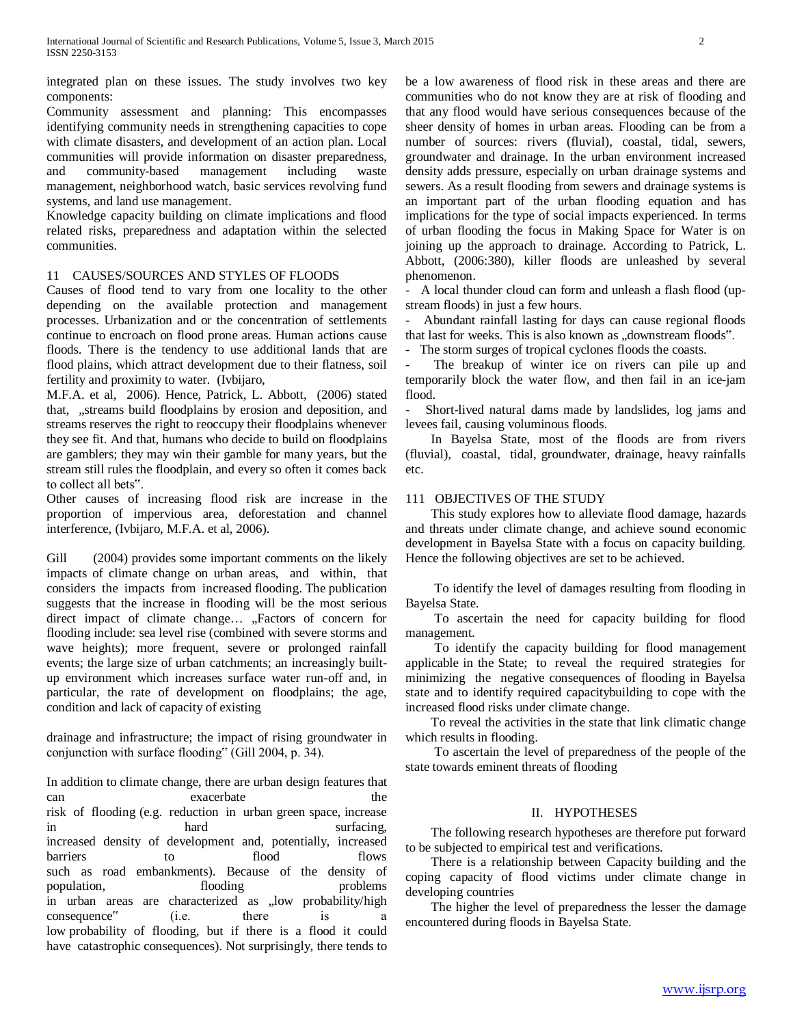integrated plan on these issues. The study involves two key components:

Community assessment and planning: This encompasses identifying community needs in strengthening capacities to cope with climate disasters, and development of an action plan. Local communities will provide information on disaster preparedness, and community-based management including waste management, neighborhood watch, basic services revolving fund systems, and land use management.

Knowledge capacity building on climate implications and flood related risks, preparedness and adaptation within the selected communities.

### 11 CAUSES/SOURCES AND STYLES OF FLOODS

Causes of flood tend to vary from one locality to the other depending on the available protection and management processes. Urbanization and or the concentration of settlements continue to encroach on flood prone areas. Human actions cause floods. There is the tendency to use additional lands that are flood plains, which attract development due to their flatness, soil fertility and proximity to water. (Ivbijaro,

M.F.A. et al, 2006). Hence, Patrick, L. Abbott, (2006) stated that, "streams build floodplains by erosion and deposition, and streams reserves the right to reoccupy their floodplains whenever they see fit. And that, humans who decide to build on floodplains are gamblers; they may win their gamble for many years, but the stream still rules the floodplain, and every so often it comes back to collect all bets".

Other causes of increasing flood risk are increase in the proportion of impervious area, deforestation and channel interference, (Ivbijaro, M.F.A. et al, 2006).

Gill (2004) provides some important comments on the likely impacts of climate change on urban areas, and within, that considers the impacts from increased flooding. The publication suggests that the increase in flooding will be the most serious direct impact of climate change... "Factors of concern for flooding include: sea level rise (combined with severe storms and wave heights); more frequent, severe or prolonged rainfall events; the large size of urban catchments; an increasingly builtup environment which increases surface water run-off and, in particular, the rate of development on floodplains; the age, condition and lack of capacity of existing

drainage and infrastructure; the impact of rising groundwater in conjunction with surface flooding" (Gill 2004, p. 34).

In addition to climate change, there are urban design features that can exacerbate the risk of flooding (e.g. reduction in urban green space, increase in hard surfacing, increased density of development and, potentially, increased barriers to flood flows such as road embankments). Because of the density of population, flooding problems population. in urban areas are characterized as "low probability/high  $\Box$ consequence" (i.e. there is low probability of flooding, but if there is a flood it could have catastrophic consequences). Not surprisingly, there tends to be a low awareness of flood risk in these areas and there are communities who do not know they are at risk of flooding and that any flood would have serious consequences because of the sheer density of homes in urban areas. Flooding can be from a number of sources: rivers (fluvial), coastal, tidal, sewers, groundwater and drainage. In the urban environment increased density adds pressure, especially on urban drainage systems and sewers. As a result flooding from sewers and drainage systems is an important part of the urban flooding equation and has implications for the type of social impacts experienced. In terms of urban flooding the focus in Making Space for Water is on joining up the approach to drainage. According to Patrick, L. Abbott, (2006:380), killer floods are unleashed by several phenomenon.

- A local thunder cloud can form and unleash a flash flood (upstream floods) in just a few hours.

- Abundant rainfall lasting for days can cause regional floods that last for weeks. This is also known as "downstream floods".

- The storm surges of tropical cyclones floods the coasts.

The breakup of winter ice on rivers can pile up and temporarily block the water flow, and then fail in an ice-jam flood.

- Short-lived natural dams made by landslides, log jams and levees fail, causing voluminous floods.

 In Bayelsa State, most of the floods are from rivers (fluvial), coastal, tidal, groundwater, drainage, heavy rainfalls etc.

# 111 OBJECTIVES OF THE STUDY

 This study explores how to alleviate flood damage, hazards and threats under climate change, and achieve sound economic development in Bayelsa State with a focus on capacity building. Hence the following objectives are set to be achieved.

 To identify the level of damages resulting from flooding in Bayelsa State.

 To ascertain the need for capacity building for flood management.

 To identify the capacity building for flood management applicable in the State; to reveal the required strategies for minimizing the negative consequences of flooding in Bayelsa state and to identify required capacitybuilding to cope with the increased flood risks under climate change.

 To reveal the activities in the state that link climatic change which results in flooding.

 To ascertain the level of preparedness of the people of the state towards eminent threats of flooding

# II. HYPOTHESES

 The following research hypotheses are therefore put forward to be subjected to empirical test and verifications.

 There is a relationship between Capacity building and the coping capacity of flood victims under climate change in developing countries

 The higher the level of preparedness the lesser the damage encountered during floods in Bayelsa State.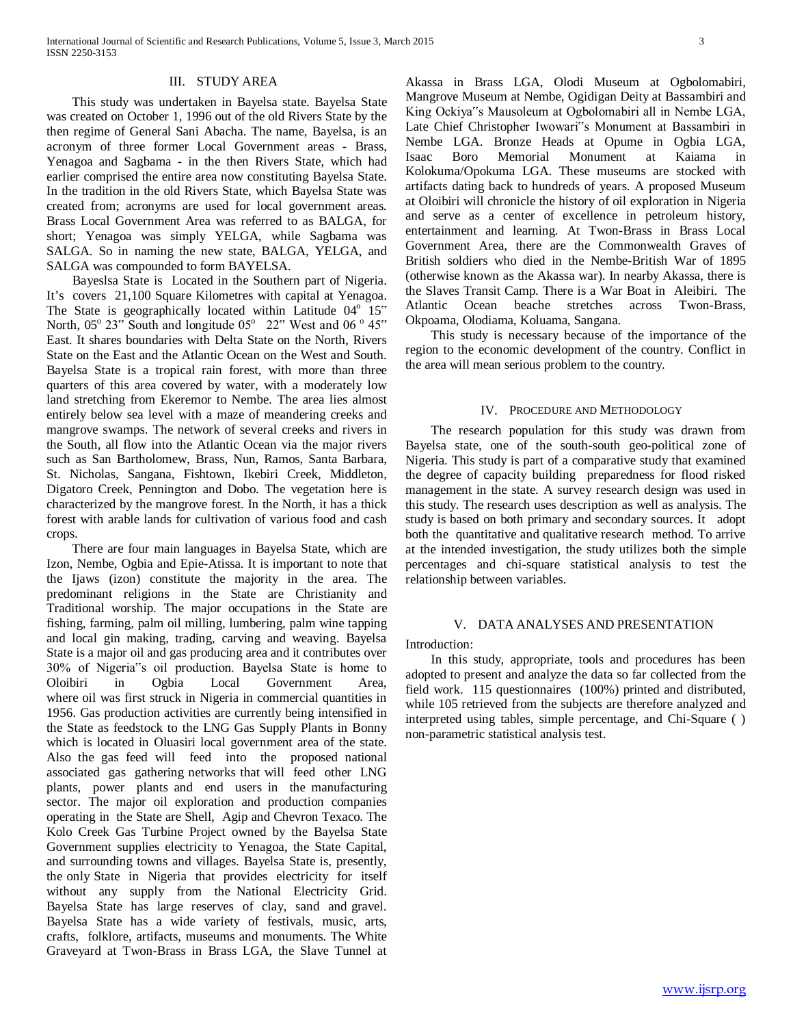#### III. STUDY AREA

 This study was undertaken in Bayelsa state. Bayelsa State was created on October 1, 1996 out of the old Rivers State by the then regime of General Sani Abacha. The name, Bayelsa, is an acronym of three former Local Government areas - Brass, Yenagoa and Sagbama - in the then Rivers State, which had earlier comprised the entire area now constituting Bayelsa State. In the tradition in the old Rivers State, which Bayelsa State was created from; acronyms are used for local government areas. Brass Local Government Area was referred to as BALGA, for short; Yenagoa was simply YELGA, while Sagbama was SALGA. So in naming the new state, BALGA, YELGA, and SALGA was compounded to form BAYELSA.

 Bayeslsa State is Located in the Southern part of Nigeria. It's covers 21,100 Square Kilometres with capital at Yenagoa. The State is geographically located within Latitude  $04^{\circ}$  15" North,  $05^{\circ}$  23" South and longitude  $05^{\circ}$  22" West and  $06^{\circ}$  45" East. It shares boundaries with Delta State on the North, Rivers State on the East and the Atlantic Ocean on the West and South. Bayelsa State is a tropical rain forest, with more than three quarters of this area covered by water, with a moderately low land stretching from Ekeremor to Nembe. The area lies almost entirely below sea level with a maze of meandering creeks and mangrove swamps. The network of several creeks and rivers in the South, all flow into the Atlantic Ocean via the major rivers such as San Bartholomew, Brass, Nun, Ramos, Santa Barbara, St. Nicholas, Sangana, Fishtown, Ikebiri Creek, Middleton, Digatoro Creek, Pennington and Dobo. The vegetation here is characterized by the mangrove forest. In the North, it has a thick forest with arable lands for cultivation of various food and cash crops.

 There are four main languages in Bayelsa State, which are Izon, Nembe, Ogbia and Epie-Atissa. It is important to note that the Ijaws (izon) constitute the majority in the area. The predominant religions in the State are Christianity and Traditional worship. The major occupations in the State are fishing, farming, palm oil milling, lumbering, palm wine tapping and local gin making, trading, carving and weaving. Bayelsa State is a major oil and gas producing area and it contributes over 30% of Nigeria"s oil production. Bayelsa State is home to Oloibiri in Ogbia Local Government Area, where oil was first struck in Nigeria in commercial quantities in 1956. Gas production activities are currently being intensified in the State as feedstock to the LNG Gas Supply Plants in Bonny which is located in Oluasiri local government area of the state. Also the gas feed will feed into the proposed national associated gas gathering networks that will feed other LNG plants, power plants and end users in the manufacturing sector. The major oil exploration and production companies operating in the State are Shell, Agip and Chevron Texaco. The Kolo Creek Gas Turbine Project owned by the Bayelsa State Government supplies electricity to Yenagoa, the State Capital, and surrounding towns and villages. Bayelsa State is, presently, the only State in Nigeria that provides electricity for itself without any supply from the National Electricity Grid. Bayelsa State has large reserves of clay, sand and gravel. Bayelsa State has a wide variety of festivals, music, arts, crafts, folklore, artifacts, museums and monuments. The White Graveyard at Twon-Brass in Brass LGA, the Slave Tunnel at

Akassa in Brass LGA, Olodi Museum at Ogbolomabiri, Mangrove Museum at Nembe, Ogidigan Deity at Bassambiri and King Ockiya"s Mausoleum at Ogbolomabiri all in Nembe LGA, Late Chief Christopher Iwowari"s Monument at Bassambiri in Nembe LGA. Bronze Heads at Opume in Ogbia LGA, Isaac Boro Memorial Monument at Kaiama in Kolokuma/Opokuma LGA. These museums are stocked with artifacts dating back to hundreds of years. A proposed Museum at Oloibiri will chronicle the history of oil exploration in Nigeria and serve as a center of excellence in petroleum history, entertainment and learning. At Twon-Brass in Brass Local Government Area, there are the Commonwealth Graves of British soldiers who died in the Nembe-British War of 1895 (otherwise known as the Akassa war). In nearby Akassa, there is the Slaves Transit Camp. There is a War Boat in Aleibiri. The Atlantic Ocean beache stretches across Twon-Brass, Okpoama, Olodiama, Koluama, Sangana.

 This study is necessary because of the importance of the region to the economic development of the country. Conflict in the area will mean serious problem to the country.

#### IV. PROCEDURE AND METHODOLOGY

 The research population for this study was drawn from Bayelsa state, one of the south-south geo-political zone of Nigeria. This study is part of a comparative study that examined the degree of capacity building preparedness for flood risked management in the state. A survey research design was used in this study. The research uses description as well as analysis. The study is based on both primary and secondary sources. It adopt both the quantitative and qualitative research method. To arrive at the intended investigation, the study utilizes both the simple percentages and chi-square statistical analysis to test the relationship between variables.

#### V. DATA ANALYSES AND PRESENTATION

Introduction:

 In this study, appropriate, tools and procedures has been adopted to present and analyze the data so far collected from the field work. 115 questionnaires (100%) printed and distributed, while 105 retrieved from the subjects are therefore analyzed and interpreted using tables, simple percentage, and Chi-Square ( ) non-parametric statistical analysis test.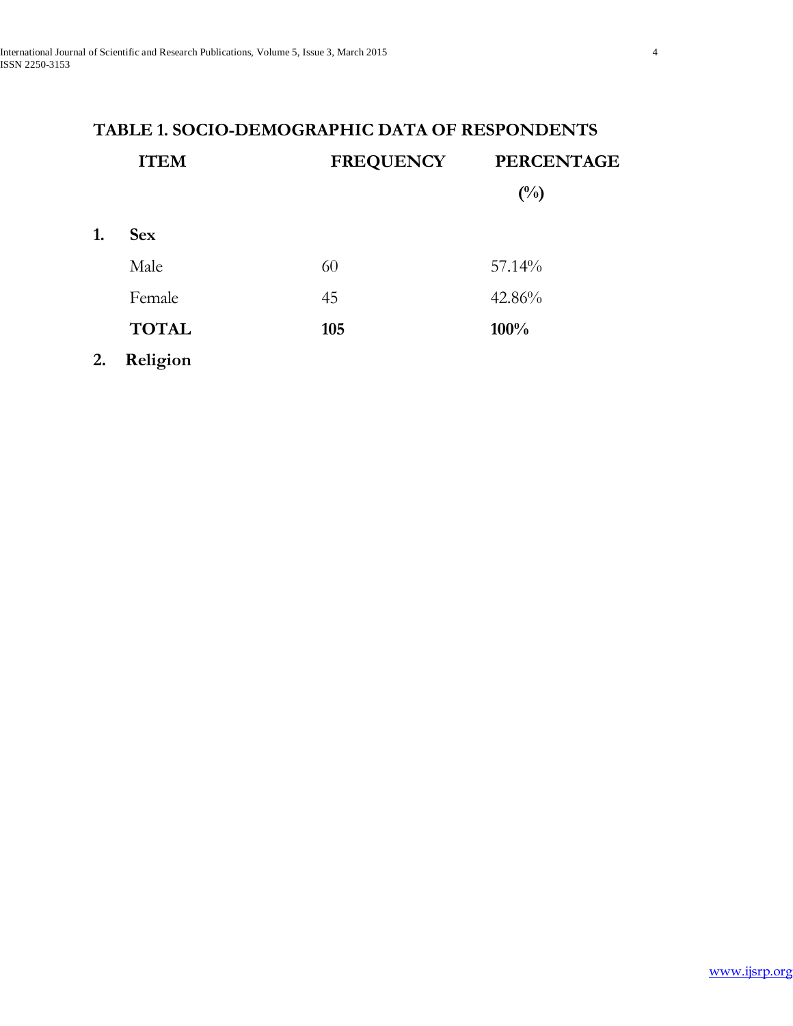# **TABLE 1. SOCIO-DEMOGRAPHIC DATA OF RESPONDENTS ITEM FREQUENCY PERCENTAGE (%) 1. Sex** Male 60 57.14% Female 45 42.86% **TOTAL 105 100%**

**2. Religion**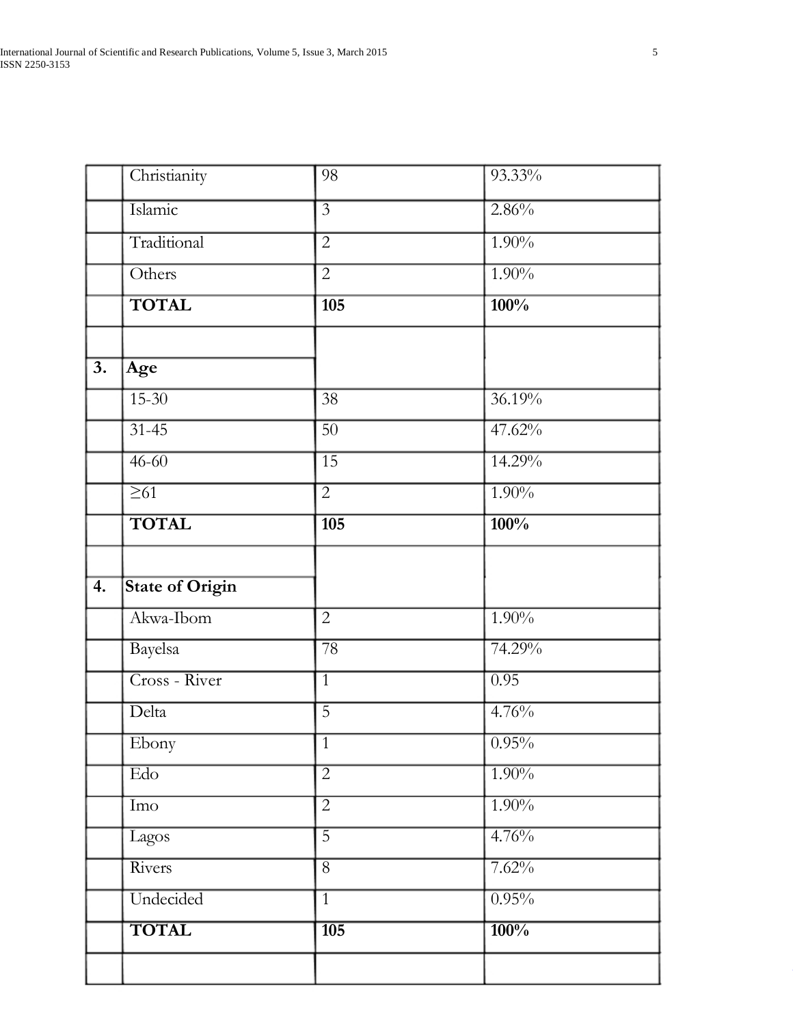|                  | Christianity                        | 98               | 93.33%   |
|------------------|-------------------------------------|------------------|----------|
|                  | Islamic                             | $\overline{3}$   | 2.86%    |
|                  | Traditional                         | $\overline{2}$   | $1.90\%$ |
|                  | Others                              | $\overline{2}$   | $1.90\%$ |
|                  | <b>TOTAL</b>                        | $\overline{105}$ | 100%     |
| $\overline{3}$ . | Age                                 |                  |          |
|                  | $15 - 30$                           | $\overline{38}$  | 36.19%   |
|                  | $31 - 45$                           | $\overline{50}$  | 47.62%   |
|                  | $46 - 60$                           | $\overline{15}$  | 14.29%   |
|                  | $\overline{\geq 61}$                | $\overline{2}$   | $1.90\%$ |
|                  | <b>TOTAL</b>                        | $\overline{105}$ | 100%     |
| 4.               | <b>State of Origin</b><br>Akwa-Ibom | $\overline{2}$   | $1.90\%$ |
|                  | Bayelsa                             | $\overline{78}$  | 74.29%   |
|                  | Cross - River                       | $\overline{1}$   | 0.95     |
|                  | Delta                               | $\overline{5}$   | 4.76%    |
|                  | Ebony                               | $\overline{1}$   | 0.95%    |
|                  | $\overline{\text{Edo}}$             | $\overline{2}$   | $1.90\%$ |
|                  | Imo                                 | $\overline{2}$   | $1.90\%$ |
|                  | Lagos                               | $\overline{5}$   | 4.76%    |
|                  | Rivers                              | $\overline{8}$   | 7.62%    |
|                  |                                     |                  |          |
|                  | Undecided                           | $\overline{1}$   | 0.95%    |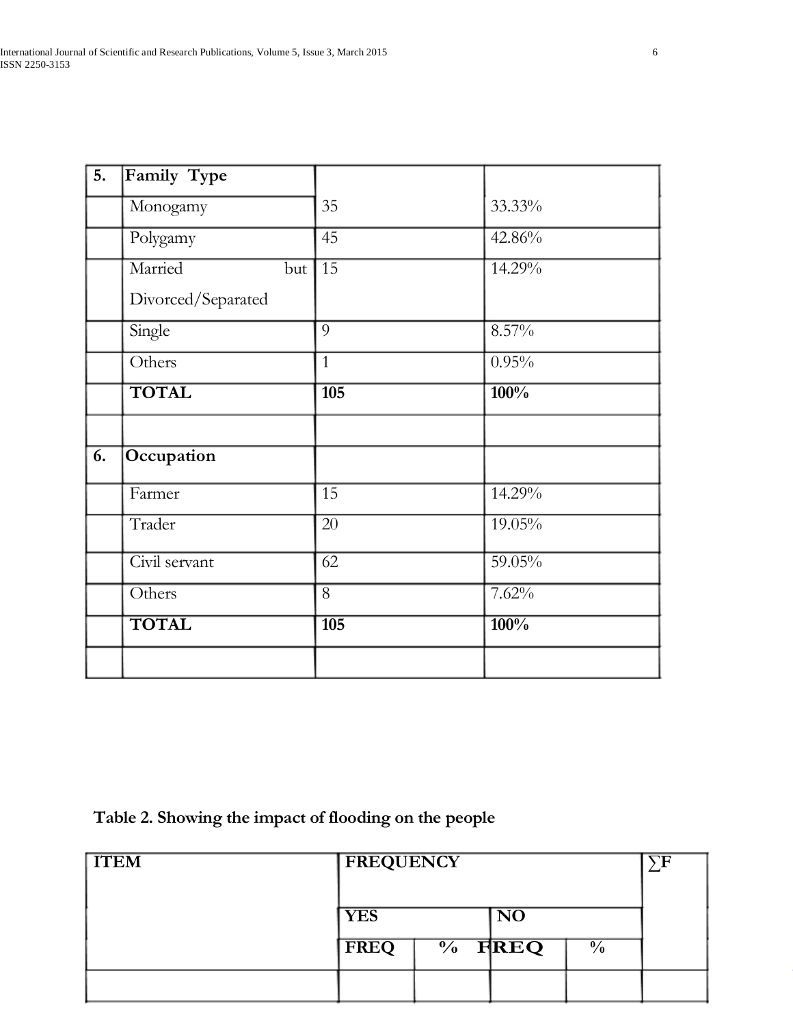# **Table 2. Showing the impact of flooding on the people**

| <b>TTEM</b> | <b>FREQUENCY</b> |                                   |                          |  |
|-------------|------------------|-----------------------------------|--------------------------|--|
|             | <b>YES</b>       | $\overline{\textbf{N}\textbf{O}}$ |                          |  |
|             | FREQ             | $\frac{6}{10}$ FREQ               | $\overline{\frac{9}{6}}$ |  |
|             |                  |                                   |                          |  |

[www.ijsrp.org](http://ijsrp.org/)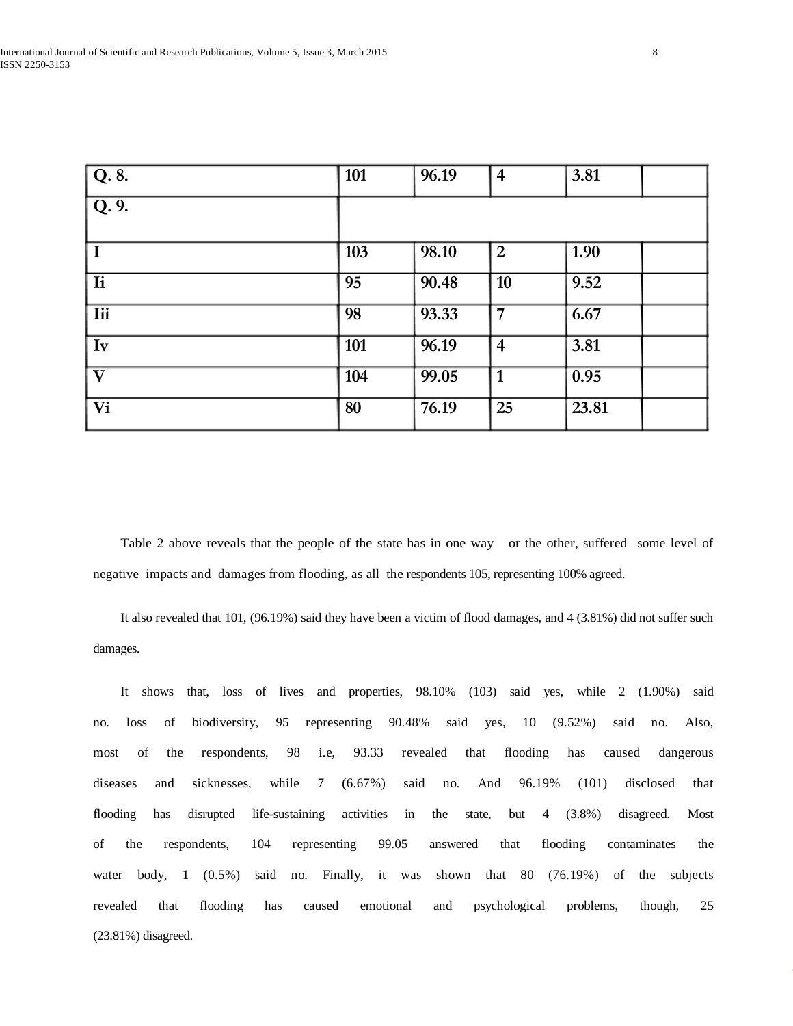| Q.8.                     | <b>101</b> | 96.19 | $\overline{4}$  | 3.81  |  |
|--------------------------|------------|-------|-----------------|-------|--|
| $\overline{Q.9.}$        |            |       |                 |       |  |
| $\bf{I}$                 | 103        | 98.10 | $\vert 2 \vert$ | 1.90  |  |
| Ii                       | 95         | 90.48 | $\vert$ 10      | 9.52  |  |
| <b>Iii</b>               | 98         | 93.33 | $\overline{7}$  | 6.67  |  |
| Iv                       | 101        | 96.19 | $\overline{4}$  | 3.81  |  |
| $\overline{\mathbf{V}}$  | 104        | 99.05 | $\vert$ 1       | 0.95  |  |
| $\overline{\mathbf{Vi}}$ | 80         | 76.19 | 25              | 23.81 |  |

 Table 2 above reveals that the people of the state has in one way or the other, suffered some level of negative impacts and damages from flooding, as all the respondents 105, representing 100% agreed.

 It also revealed that 101, (96.19%) said they have been a victim of flood damages, and 4 (3.81%) did not suffer such damages.

 It shows that, loss of lives and properties, 98.10% (103) said yes, while 2 (1.90%) said no. loss of biodiversity, 95 representing 90.48% said yes, 10 (9.52%) said no. Also, most of the respondents, 98 i.e, 93.33 revealed that flooding has caused dangerous diseases and sicknesses, while 7 (6.67%) said no. And 96.19% (101) disclosed that flooding has disrupted life-sustaining activities in the state, but 4 (3.8%) disagreed. Most of the respondents, 104 representing 99.05 answered that flooding contaminates the water body, 1 (0.5%) said no. Finally, it was shown that 80 (76.19%) of the subjects revealed that flooding has caused emotional and psychological problems, though, 25 (23.81%) disagreed.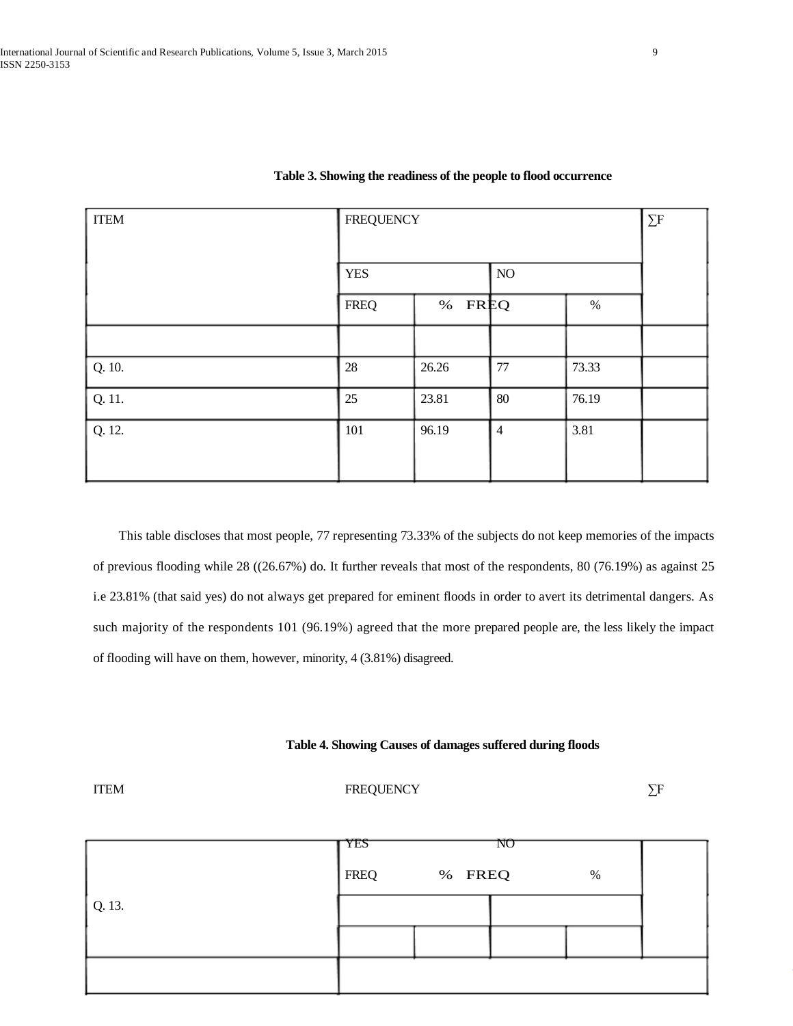| <b>ITEM</b> | <b>FREQUENCY</b> |        | $\Sigma$ F     |       |  |
|-------------|------------------|--------|----------------|-------|--|
|             | <b>YES</b>       |        | $\overline{N}$ |       |  |
|             | <b>FREQ</b>      | % FREQ |                | $\%$  |  |
|             |                  |        |                |       |  |
| Q. 10.      | 28               | 26.26  | 77             | 73.33 |  |
| Q. 11.      | 25               | 23.81  | $80\,$         | 76.19 |  |
| Q. 12.      | 101              | 96.19  | $\overline{4}$ | 3.81  |  |

# **Table 3. Showing the readiness of the people to flood occurrence**

 This table discloses that most people, 77 representing 73.33% of the subjects do not keep memories of the impacts of previous flooding while 28 ((26.67%) do. It further reveals that most of the respondents, 80 (76.19%) as against 25 i.e 23.81% (that said yes) do not always get prepared for eminent floods in order to avert its detrimental dangers. As such majority of the respondents 101 (96.19%) agreed that the more prepared people are, the less likely the impact of flooding will have on them, however, minority, 4 (3.81%) disagreed.

### **Table 4. Showing Causes of damages suffered during floods**

ITEM FREQUENCY ∑F

|                | <b>YES</b><br><b>FREQ</b> | % FREQ | NO | % |  |
|----------------|---------------------------|--------|----|---|--|
| $\vert$ Q. 13. |                           |        |    |   |  |
|                |                           |        |    |   |  |
|                |                           |        |    |   |  |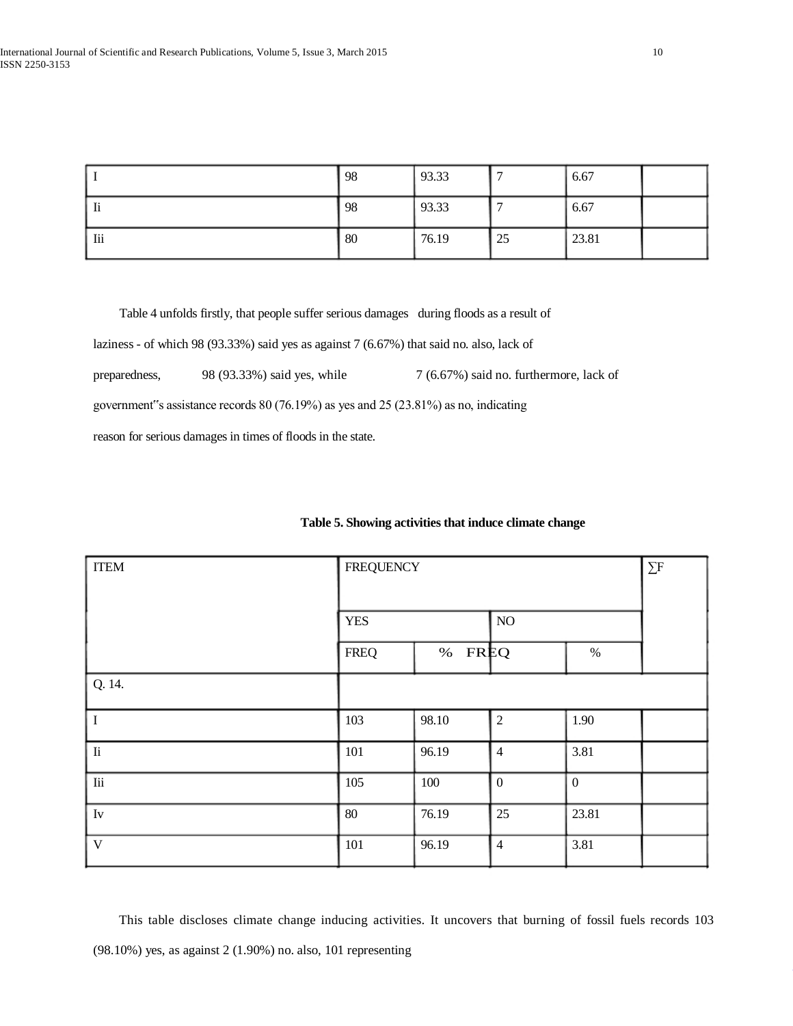|     | 98         | 93.33 |    | 6.67  |  |
|-----|------------|-------|----|-------|--|
| -li | 98         | 93.33 |    | 6.67  |  |
| lii | $\vert 80$ | 76.19 | 25 | 23.81 |  |

Table 4 unfolds firstly, that people suffer serious damages during floods as a result of

laziness - of which 98 (93.33%) said yes as against 7 (6.67%) that said no. also, lack of

preparedness, 98 (93.33%) said yes, while 7 (6.67%) said no. furthermore, lack of

government"s assistance records 80 (76.19%) as yes and 25 (23.81%) as no, indicating

reason for serious damages in times of floods in the state.

| <b>ITEM</b>   | <b>FREQUENCY</b> | $\sum F$ |                             |                  |  |
|---------------|------------------|----------|-----------------------------|------------------|--|
|               | <b>YES</b>       |          | $\overline{\phantom{a}}$ NO |                  |  |
|               | <b>FREQ</b>      | % FREQ   |                             | $\%$             |  |
| Q. 14.        |                  |          |                             |                  |  |
| I             | 103              | 98.10    | $\overline{2}$              | 1.90             |  |
| $\rm{I}i$     | 101              | 96.19    | $\overline{4}$              | 3.81             |  |
| $\rm{I\!i}$   | 105              | 100      | $\overline{0}$              | $\boldsymbol{0}$ |  |
| $\mathrm{Iv}$ | $80\,$           | 76.19    | 25                          | 23.81            |  |
| $\mathbf V$   | 101              | 96.19    | $\overline{4}$              | 3.81             |  |

# **Table 5. Showing activities that induce climate change**

 This table discloses climate change inducing activities. It uncovers that burning of fossil fuels records 103 (98.10%) yes, as against 2 (1.90%) no. also, 101 representing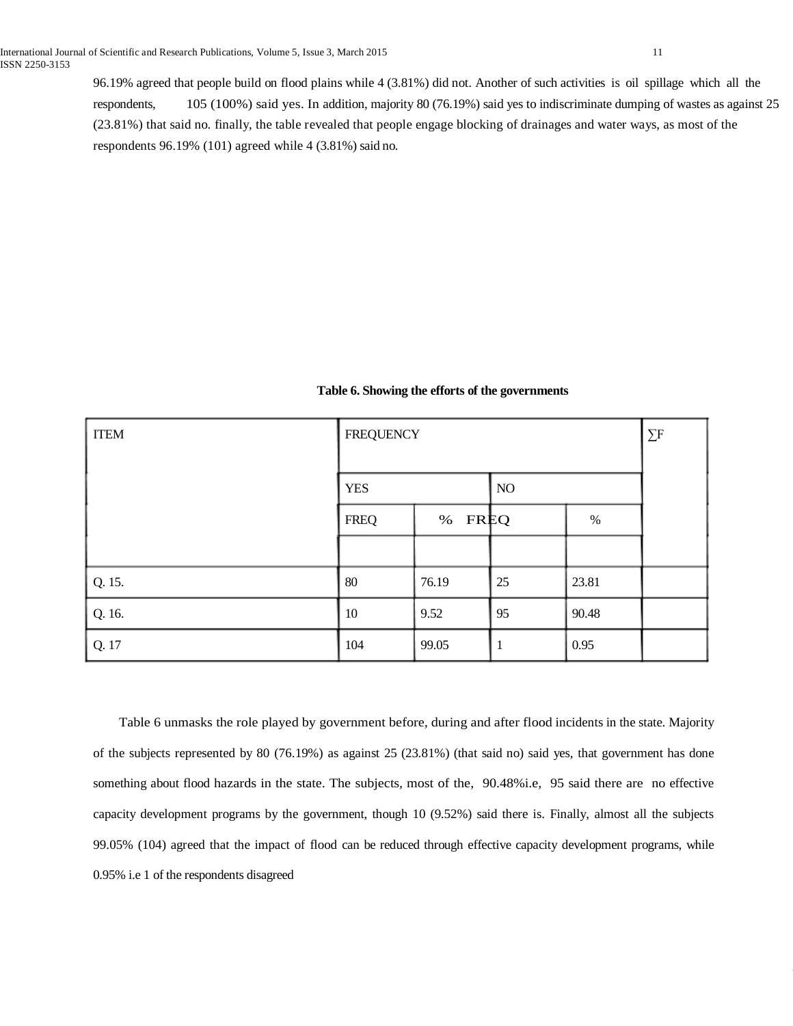96.19% agreed that people build on flood plains while 4 (3.81%) did not. Another of such activities is oil spillage which all the respondents, 105 (100%) said yes. In addition, majority 80 (76.19%) said yes to indiscriminate dumping of wastes as against 25 (23.81%) that said no. finally, the table revealed that people engage blocking of drainages and water ways, as most of the respondents 96.19% (101) agreed while 4 (3.81%) said no.

| Table 6. Showing the efforts of the governments |  |
|-------------------------------------------------|--|
|-------------------------------------------------|--|

| <b>ITEM</b> | <b>FREQUENCY</b> | $\Sigma$ F |    |       |  |  |
|-------------|------------------|------------|----|-------|--|--|
|             | <b>YES</b>       |            | NO |       |  |  |
|             | <b>FREQ</b>      | % FREQ     |    | $\%$  |  |  |
|             |                  |            |    |       |  |  |
| Q. 15.      | 80               | 76.19      | 25 | 23.81 |  |  |
| Q. 16.      | 10               | 9.52       | 95 | 90.48 |  |  |
| Q. 17       | 104              | 99.05      |    | 0.95  |  |  |

 Table 6 unmasks the role played by government before, during and after flood incidents in the state. Majority of the subjects represented by 80 (76.19%) as against 25 (23.81%) (that said no) said yes, that government has done something about flood hazards in the state. The subjects, most of the, 90.48%i.e, 95 said there are no effective capacity development programs by the government, though 10 (9.52%) said there is. Finally, almost all the subjects 99.05% (104) agreed that the impact of flood can be reduced through effective capacity development programs, while 0.95% i.e 1 of the respondents disagreed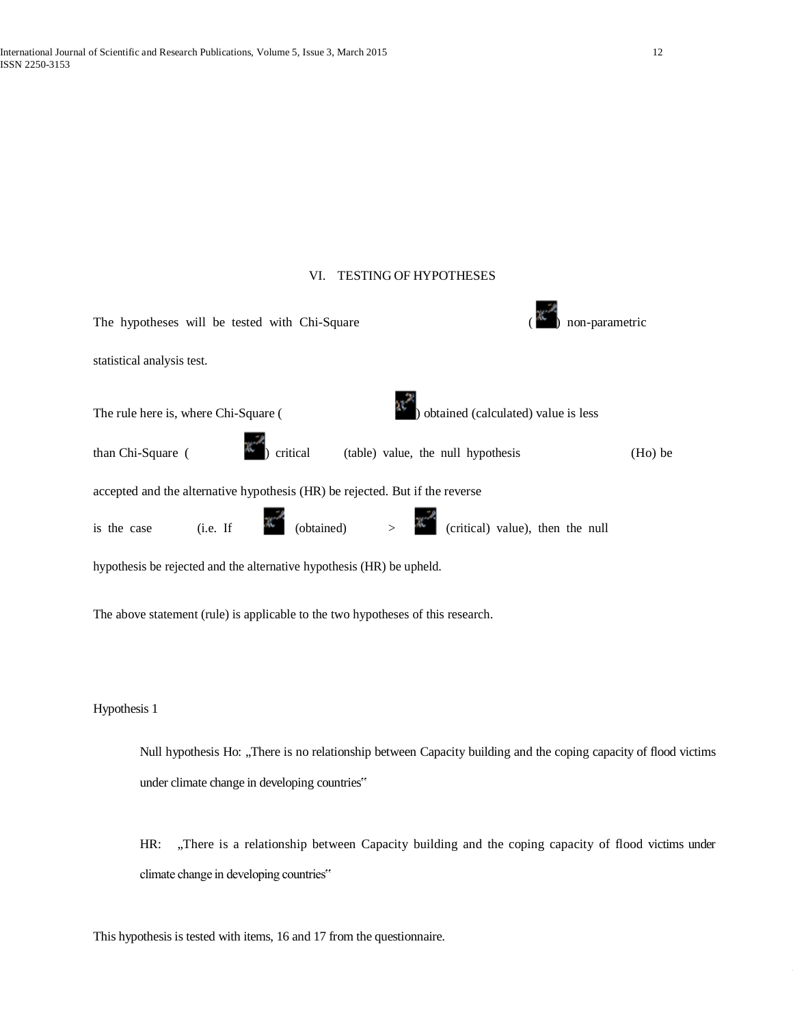# VI. TESTING OF HYPOTHESES

| The hypotheses will be tested with Chi-Square                                                                              | non-parametric |
|----------------------------------------------------------------------------------------------------------------------------|----------------|
| statistical analysis test.                                                                                                 |                |
| <br> ) obtained (calculated) value is less<br>The rule here is, where Chi-Square (                                         |                |
| critical (table) value, the null hypothesis<br>than Chi-Square (                                                           | $(Ho)$ be      |
| accepted and the alternative hypothesis (HR) be rejected. But if the reverse                                               |                |
| is the case (i.e. If $\mathbb{R}^{\mathbb{Z}^d}$ (obtained) > $\mathbb{R}^{\mathbb{Z}^d}$ (critical) value), then the null |                |
| hypothesis be rejected and the alternative hypothesis (HR) be upheld.                                                      |                |
| The above statement (rule) is applicable to the two hypotheses of this research.                                           |                |
|                                                                                                                            |                |
| Hypothesis 1                                                                                                               |                |
| Null hypothesis Ho: There is no relationship between Capacity building and the coping capacity of flood                    |                |

Null hypothesis Ho: "There is no relationship between Capacity building and the coping capacity of flood victims under climate change in developing countries"

HR: "There is a relationship between Capacity building and the coping capacity of flood victims under climate change in developing countries"

This hypothesis is tested with items, 16 and 17 from the questionnaire.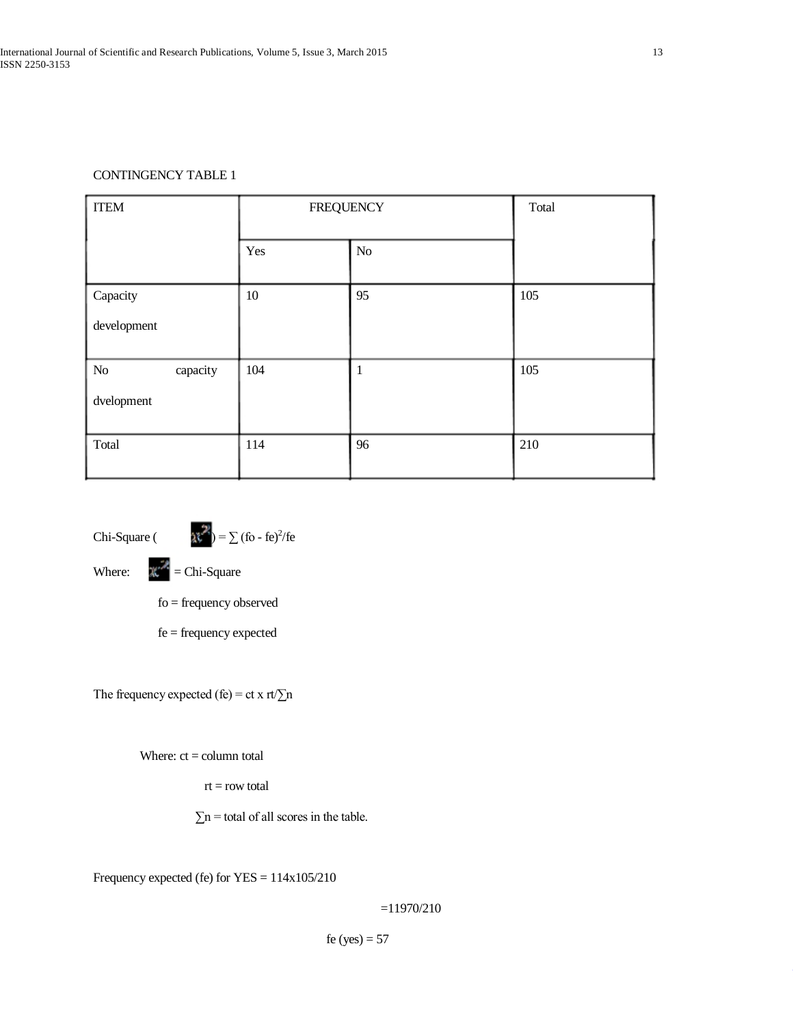# CONTINGENCY TABLE 1

| <b>ITEM</b>                  | <b>FREQUENCY</b> |              | Total |
|------------------------------|------------------|--------------|-------|
|                              | Yes              | $\rm No$     |       |
| Capacity<br>development      | $10\,$           | 95           | 105   |
| No<br>capacity<br>dvelopment | 104              | $\mathbf{1}$ | 105   |
| Total                        | 114              | 96           | 210   |

Chi-Square ( $\lambda^* = \sum_{n=0}^{\infty} (6 - \text{fe})^2 / \text{fe}$ 

Where:  $\mathbb{R}^{\mathbb{Z}}$  = Chi-Square

fo = frequency observed

fe = frequency expected

The frequency expected (fe) = ct x rt/ $\Sigma$ n

Where:  $ct = column total$ 

 $rt = row$  total

 $\Sigma$ n = total of all scores in the table.

Frequency expected (fe) for YES = 114x105/210

=11970/210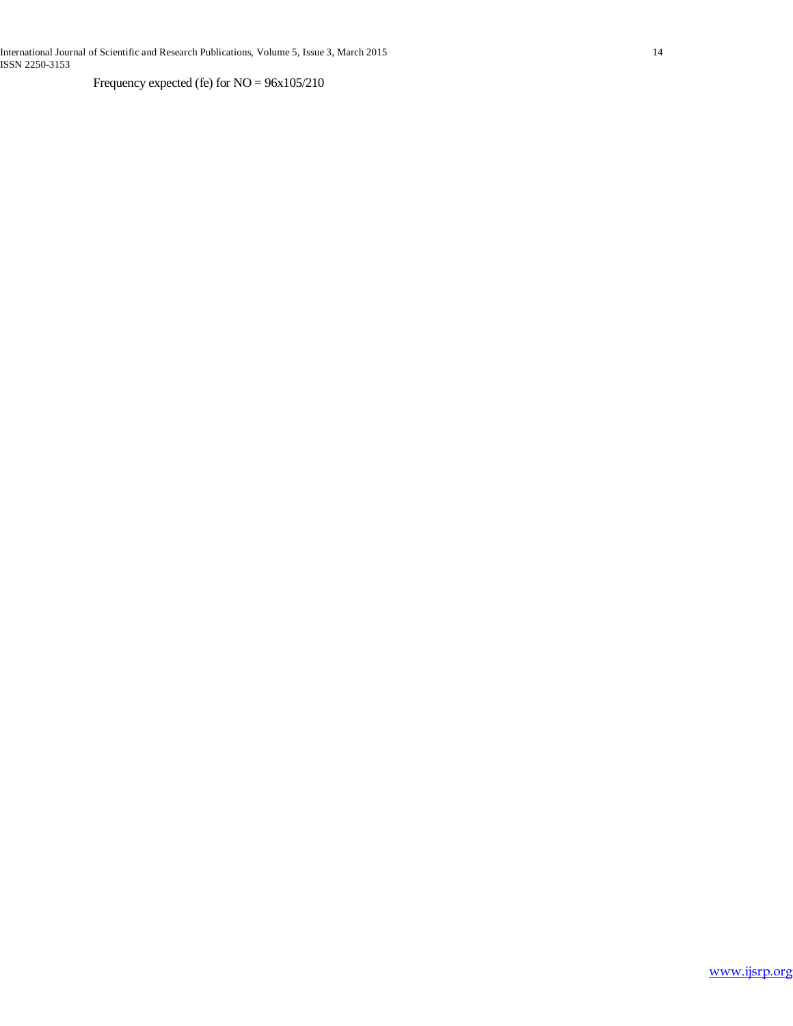International Journal of Scientific and Research Publications, Volume 5, Issue 3, March 2015 14 ISSN 2250-3153

Frequency expected (fe) for NO = 96x105/210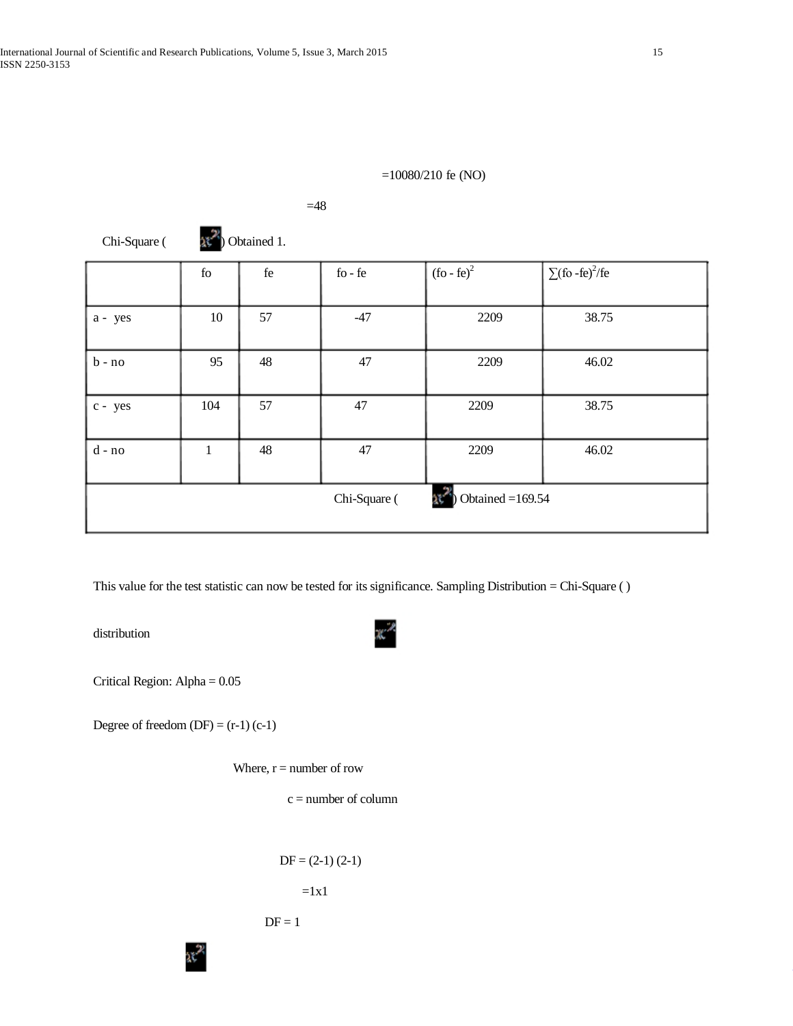# =10080/210 fe (NO)

| Chi-Square ( |     | Obtained 1. |                                           |                    |                                 |
|--------------|-----|-------------|-------------------------------------------|--------------------|---------------------------------|
|              | fo  | $\rm{fe}$   | $\operatorname{fo}$ - $\operatorname{fe}$ | $($ fo - fe $)^2$  | $\sum$ (fo-fe) <sup>2</sup> /fe |
| a - yes      | 10  | 57          | $-47$                                     | 2209               | 38.75                           |
| $b - no$     | 95  | 48          | 47                                        | 2209               | 46.02                           |
| c - yes      | 104 | 57          | 47                                        | 2209               | 38.75                           |
| $d$ - $no$   | 1   | 48          | 47                                        | 2209               | 46.02                           |
|              |     |             | Chi-Square (                              | Obtained $=169.54$ |                                 |

 $=48$ 

This value for the test statistic can now be tested for its significance. Sampling Distribution = Chi-Square ( )

distribution

Critical Region: Alpha = 0.05

Degree of freedom  $(DF) = (r-1) (c-1)$ 

Where,  $r =$  number of row

 $c =$  number of column

```
DF = (2-1) (2-1)=1x1
```

$$
DF = 1
$$

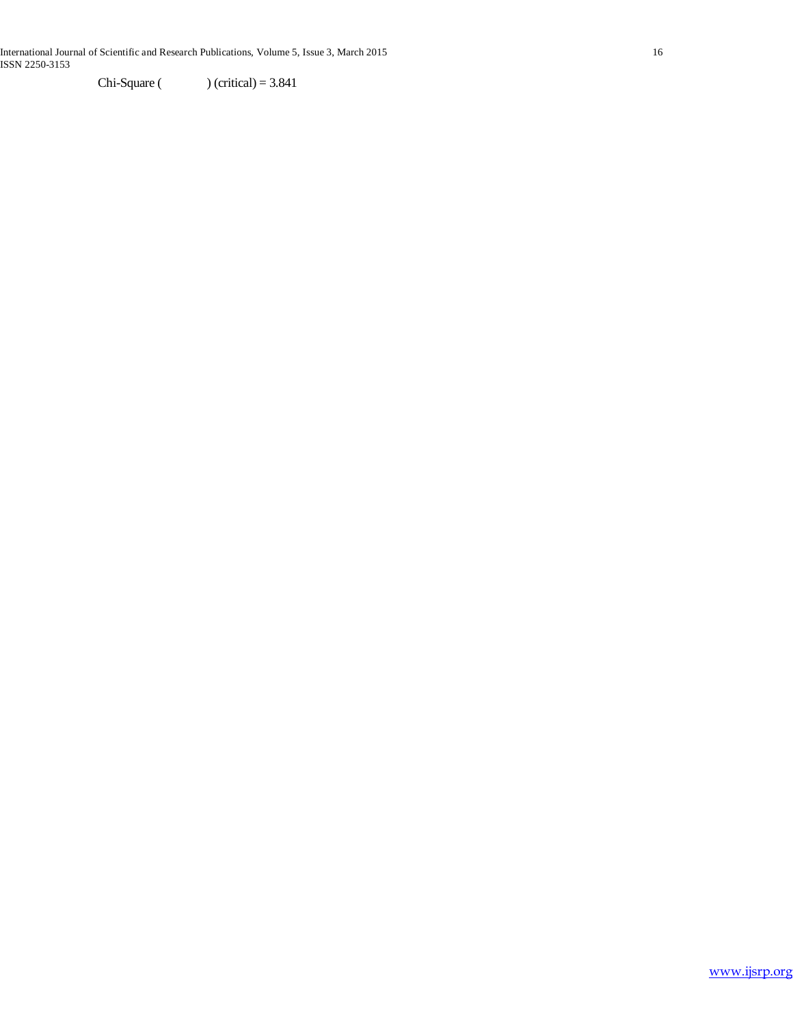Chi-Square ( ) (critical) =  $3.841$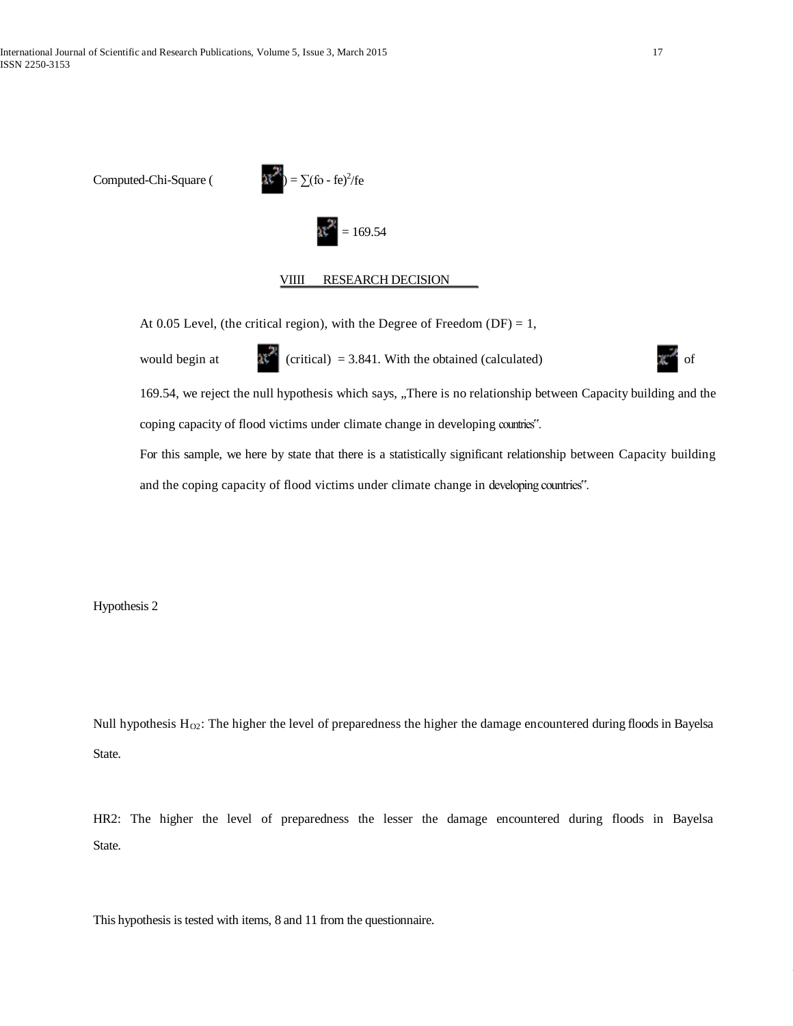Computed-Chi-Square (



### VIIII RESEARCH DECISION

At 0.05 Level, (the critical region), with the Degree of Freedom (DF) = 1,

would begin at  $\mathbb{R}^{\mathbb{Z}}$  (critical) = 3.841. With the obtained (calculated)  $\mathbb{R}^{\mathbb{Z}}$  of

169.54, we reject the null hypothesis which says, "There is no relationship between Capacity building and the coping capacity of flood victims under climate change in developing countries".

For this sample, we here by state that there is a statistically significant relationship between Capacity building and the coping capacity of flood victims under climate change in developing countries".

Hypothesis 2

Null hypothesis  $H_{Q2}$ : The higher the level of preparedness the higher the damage encountered during floods in Bayelsa State.

HR2: The higher the level of preparedness the lesser the damage encountered during floods in Bayelsa State.

This hypothesis is tested with items, 8 and 11 from the questionnaire.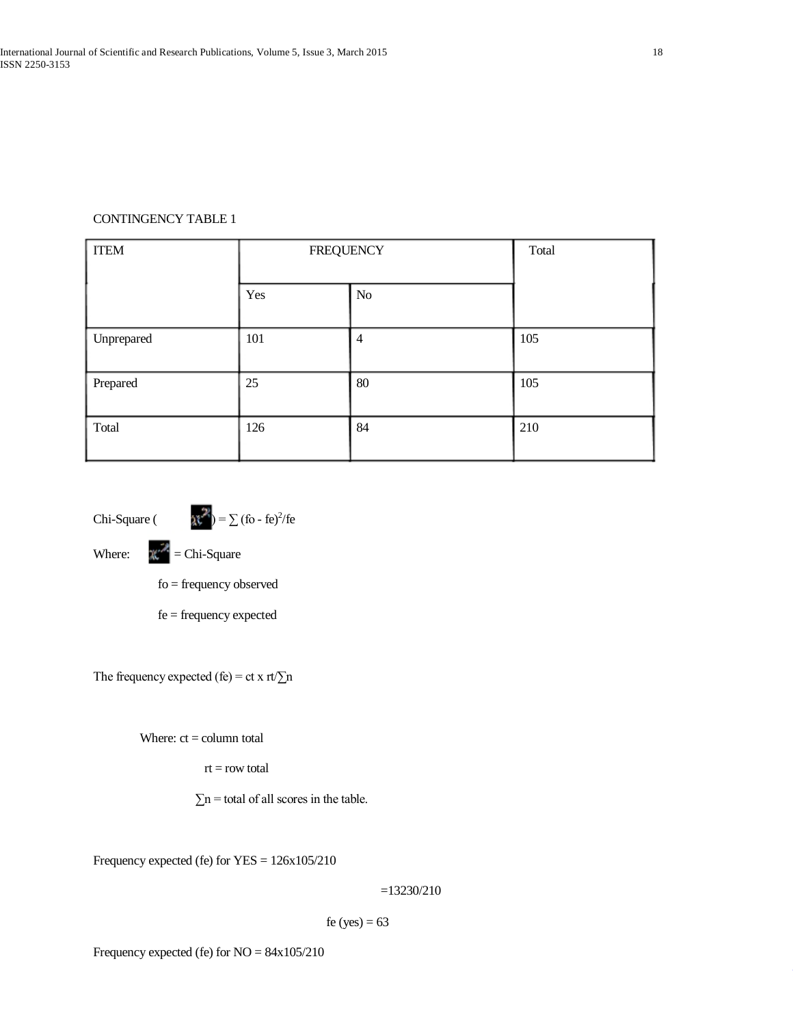# CONTINGENCY TABLE 1

| <b>ITEM</b> | <b>FREQUENCY</b> |                | Total |
|-------------|------------------|----------------|-------|
|             | Yes              | $\rm No$       |       |
| Unprepared  | 101              | $\overline{4}$ | 105   |
| Prepared    | 25               | 80             | 105   |
| Total       | 126              | 84             | 210   |

Chi-Square (  $\qquad \qquad$  at  $) = \sum (f \circ - f e)^2 / fe$ 

Where:  $\mathbb{R}^2$  = Chi-Square

fo = frequency observed

fe = frequency expected

The frequency expected (fe) = ct x rt/ $\Sigma$ n

Where:  $ct = column total$ 

rt = row total

 $\Sigma$ n = total of all scores in the table.

Frequency expected (fe) for YES = 126x105/210

=13230/210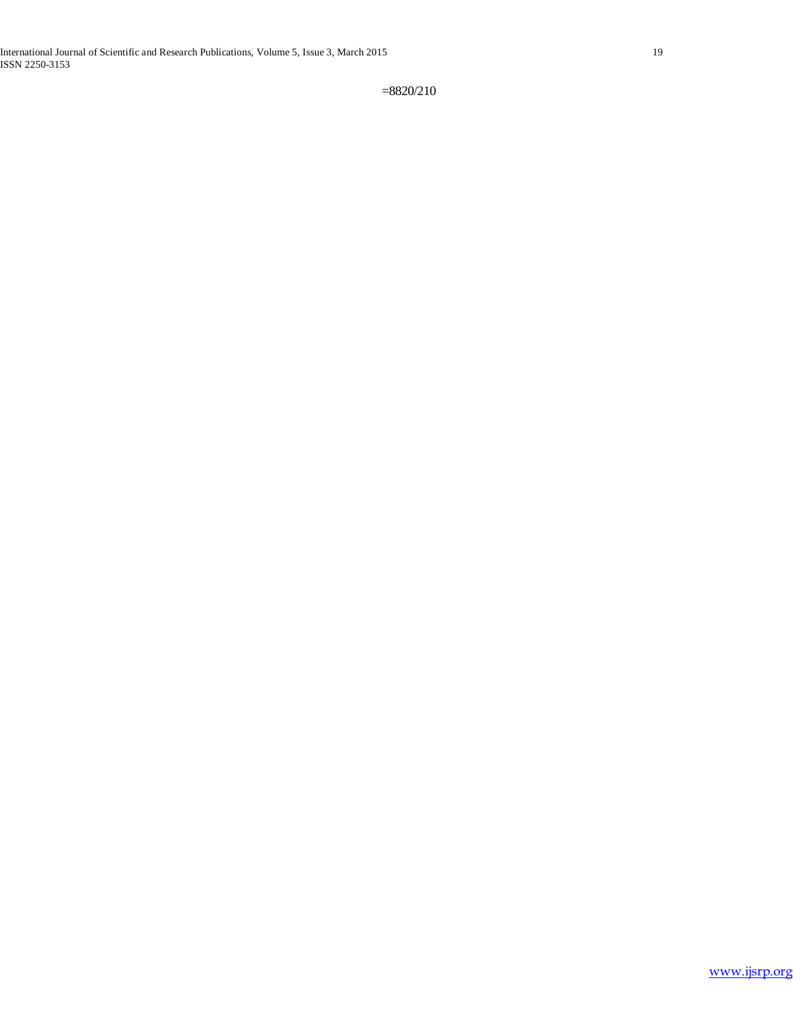=8820/210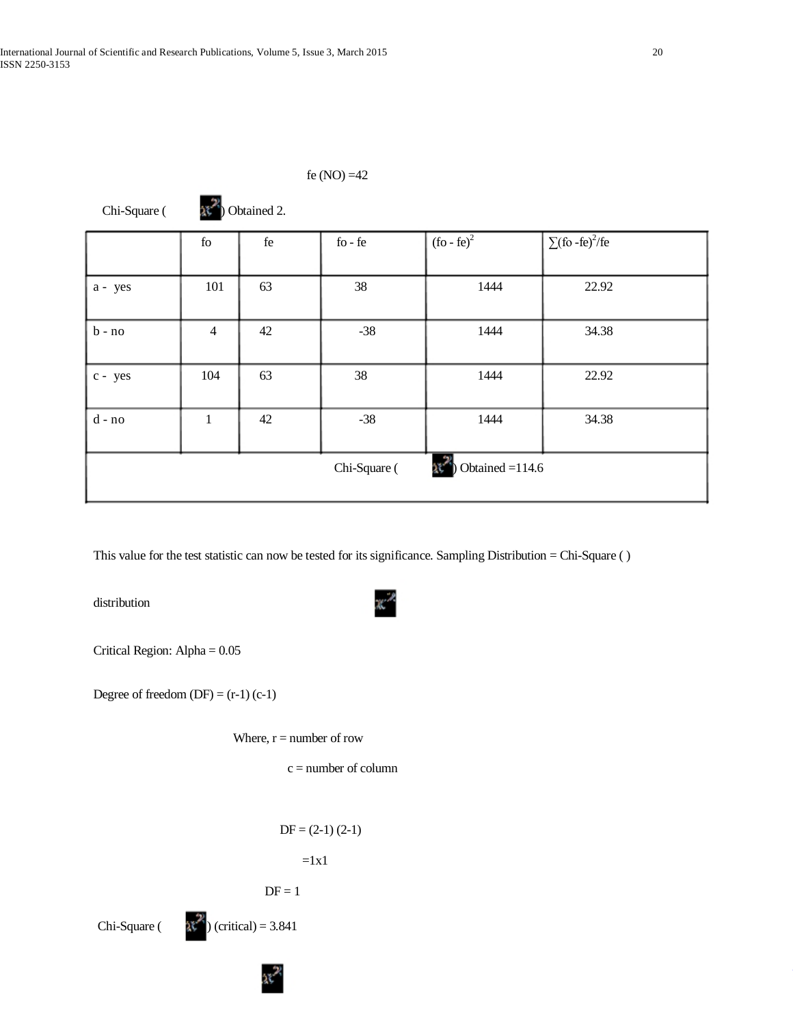|                                   | fe (NO) $=42$  |                     |                                           |                                      |                        |  |  |  |  |
|-----------------------------------|----------------|---------------------|-------------------------------------------|--------------------------------------|------------------------|--|--|--|--|
| Chi-Square (                      | Obtained 2.    |                     |                                           |                                      |                        |  |  |  |  |
|                                   | ${\rm fo}$     | $\operatorname{fe}$ | $\operatorname{fo}$ - $\operatorname{fe}$ | $(\overline{\text{fo}-\text{fe}})^2$ | $\sqrt{(6 - fe)^2/fe}$ |  |  |  |  |
| a - yes                           | 101            | 63                  | 38                                        | 1444                                 | 22.92                  |  |  |  |  |
| $b - no$                          | $\overline{4}$ | 42                  | $-38$                                     | 1444                                 | 34.38                  |  |  |  |  |
| c - yes                           | 104            | 63                  | 38                                        | 1444                                 | 22.92                  |  |  |  |  |
| d - no                            | $\mathbf{1}$   | 42                  | $-38$                                     | 1444                                 | 34.38                  |  |  |  |  |
| Obtained $=114.6$<br>Chi-Square ( |                |                     |                                           |                                      |                        |  |  |  |  |

This value for the test statistic can now be tested for its significance. Sampling Distribution = Chi-Square ( )

distribution

Critical Region: Alpha = 0.05

Degree of freedom  $(DF) = (r-1) (c-1)$ 

Where,  $r =$  number of row

 $c =$  number of column

$$
DF = (2-1) (2-1)
$$

 $=1x1$ 

$$
DF = 1
$$

Chi-Square (  $\lambda \zeta^2$  (critical) = 3.841

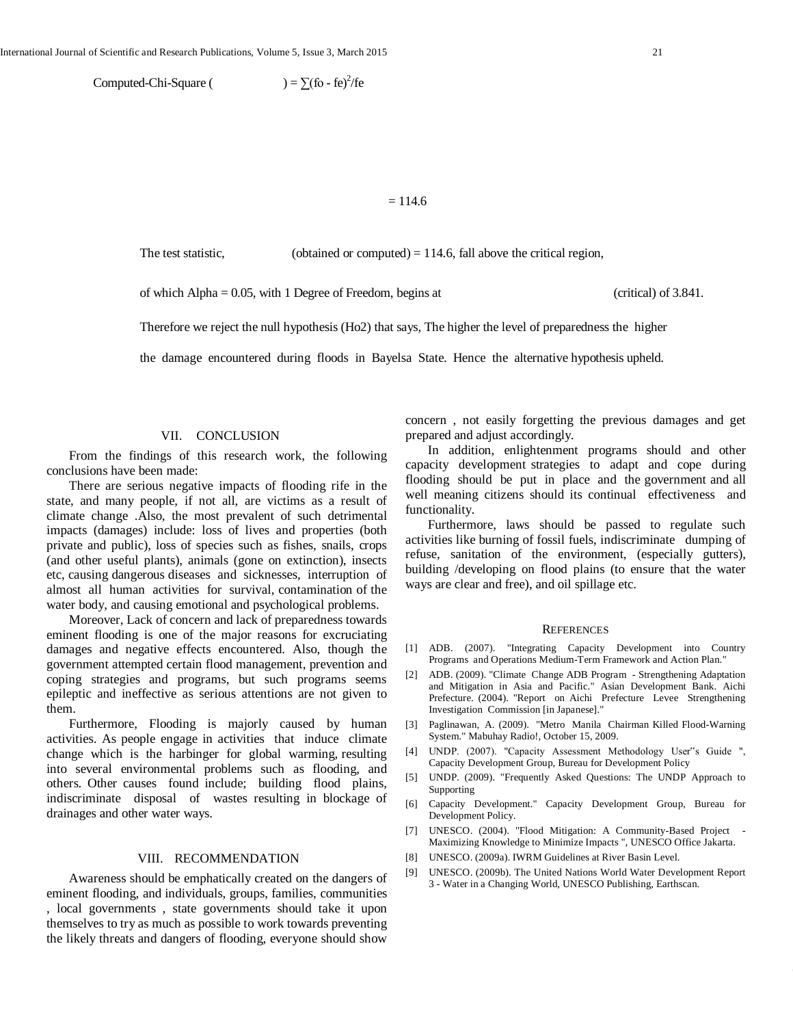Computed-Chi-Square (  $) = \sum (f_0 - fe)^2 / fe$ 

#### $= 114.6$

The test statistic, (obtained or computed)  $= 114.6$ , fall above the critical region,

of which Alpha = 0.05, with 1 Degree of Freedom, begins at (critical) of 3.841.

Therefore we reject the null hypothesis (Ho2) that says, The higher the level of preparedness the higher

the damage encountered during floods in Bayelsa State. Hence the alternative hypothesis upheld.

# VII. CONCLUSION

 From the findings of this research work, the following conclusions have been made:

 There are serious negative impacts of flooding rife in the state, and many people, if not all, are victims as a result of climate change .Also, the most prevalent of such detrimental impacts (damages) include: loss of lives and properties (both private and public), loss of species such as fishes, snails, crops (and other useful plants), animals (gone on extinction), insects etc, causing dangerous diseases and sicknesses, interruption of almost all human activities for survival, contamination of the water body, and causing emotional and psychological problems.

 Moreover, Lack of concern and lack of preparedness towards eminent flooding is one of the major reasons for excruciating damages and negative effects encountered. Also, though the government attempted certain flood management, prevention and coping strategies and programs, but such programs seems epileptic and ineffective as serious attentions are not given to them.

 Furthermore, Flooding is majorly caused by human activities. As people engage in activities that induce climate change which is the harbinger for global warming, resulting into several environmental problems such as flooding, and others. Other causes found include; building flood plains, indiscriminate disposal of wastes resulting in blockage of drainages and other water ways.

#### VIII. RECOMMENDATION

 Awareness should be emphatically created on the dangers of eminent flooding, and individuals, groups, families, communities , local governments , state governments should take it upon themselves to try as much as possible to work towards preventing the likely threats and dangers of flooding, everyone should show

concern , not easily forgetting the previous damages and get prepared and adjust accordingly.

 In addition, enlightenment programs should and other capacity development strategies to adapt and cope during flooding should be put in place and the government and all well meaning citizens should its continual effectiveness and functionality.

 Furthermore, laws should be passed to regulate such activities like burning of fossil fuels, indiscriminate dumping of refuse, sanitation of the environment, (especially gutters), building /developing on flood plains (to ensure that the water ways are clear and free), and oil spillage etc.

#### **REFERENCES**

- [1] ADB. (2007). "Integrating Capacity Development into Country Programs and Operations Medium-Term Framework and Action Plan."
- [2] ADB. (2009). "Climate Change ADB Program Strengthening Adaptation and Mitigation in Asia and Pacific." Asian Development Bank. Aichi Prefecture. (2004). "Report on Aichi Prefecture Levee Strengthening Investigation Commission [in Japanese]."
- [3] Paglinawan, A. (2009). "Metro Manila Chairman Killed Flood-Warning System." Mabuhay Radio!, October 15, 2009.
- [4] UNDP. (2007). "Capacity Assessment Methodology User"s Guide ", Capacity Development Group, Bureau for Development Policy
- [5] UNDP. (2009). "Frequently Asked Questions: The UNDP Approach to Supporting
- [6] Capacity Development." Capacity Development Group, Bureau for Development Policy.
- [7] UNESCO. (2004). "Flood Mitigation: A Community-Based Project Maximizing Knowledge to Minimize Impacts ", UNESCO Office Jakarta.
- [8] UNESCO. (2009a). IWRM Guidelines at River Basin Level.
- [9] UNESCO. (2009b). The United Nations World Water Development Report 3 - Water in a Changing World, UNESCO Publishing, Earthscan.